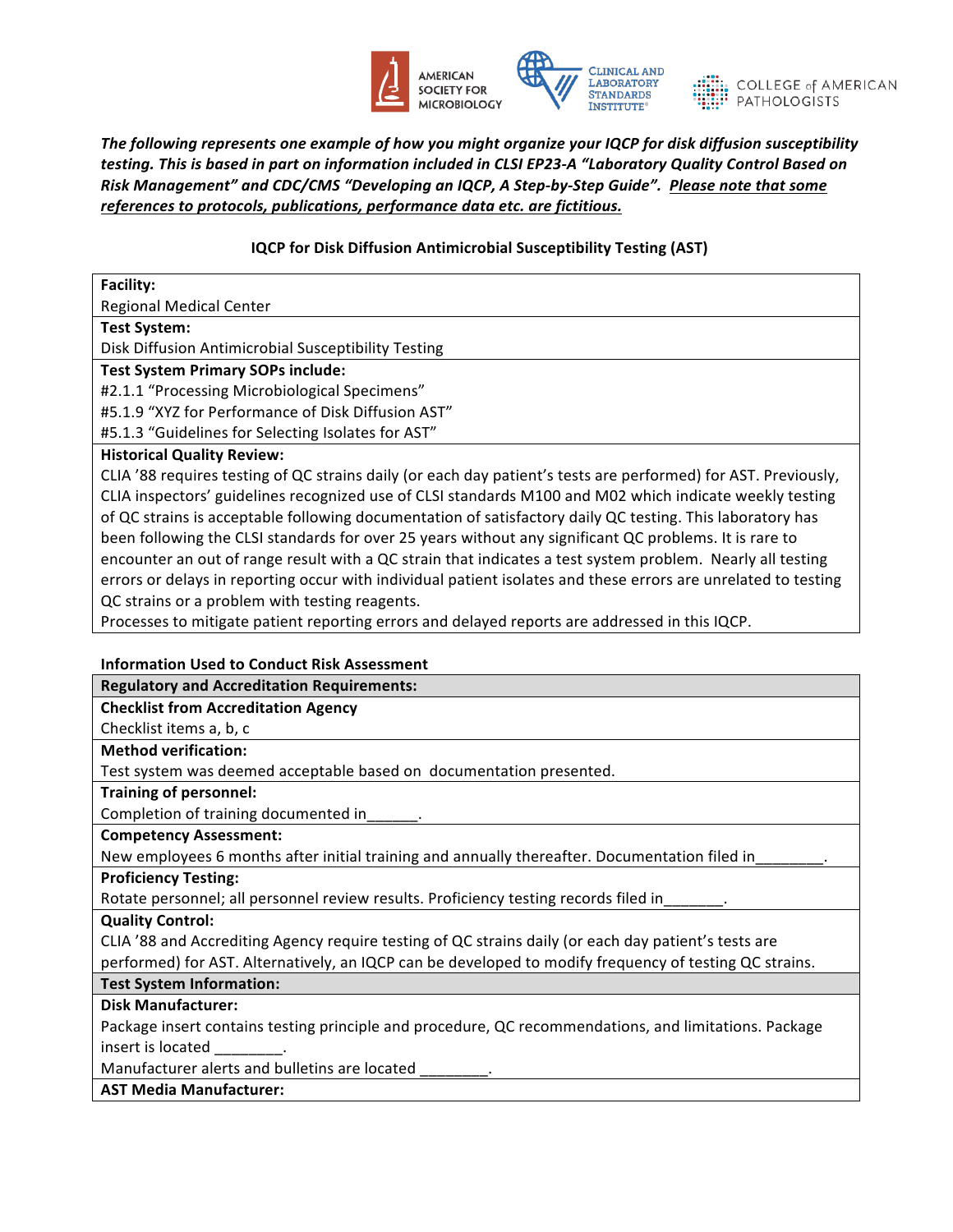



The following represents one example of how you might organize your IQCP for disk diffusion susceptibility testing. This is based in part on information included in CLSI EP23-A "Laboratory Quality Control Based on Risk Management" and CDC/CMS "Developing an IQCP, A Step-by-Step Guide". Please note that some *references to protocols, publications, performance data etc. are fictitious.* 

### **IQCP** for Disk Diffusion Antimicrobial Susceptibility Testing (AST)

| <b>Facility:</b>                                                                                               |
|----------------------------------------------------------------------------------------------------------------|
| <b>Regional Medical Center</b>                                                                                 |
| <b>Test System:</b>                                                                                            |
| Disk Diffusion Antimicrobial Susceptibility Testing                                                            |
| <b>Test System Primary SOPs include:</b>                                                                       |
| #2.1.1 "Processing Microbiological Specimens"                                                                  |
| #5.1.9 "XYZ for Performance of Disk Diffusion AST"                                                             |
| #5.1.3 "Guidelines for Selecting Isolates for AST"                                                             |
| <b>Historical Quality Review:</b>                                                                              |
| CLIA '88 requires testing of QC strains daily (or each day patient's tests are performed) for AST. Previously, |
| CLIA inspectors' guidelines recognized use of CLSI standards M100 and M02 which indicate weekly testing        |
| of QC strains is acceptable following documentation of satisfactory daily QC testing. This laboratory has      |
| been following the CLSI standards for over 25 years without any significant QC problems. It is rare to         |
| encounter an out of range result with a QC strain that indicates a test system problem. Nearly all testing     |
| errors or delays in reporting occur with individual patient isolates and these errors are unrelated to testing |

QC strains or a problem with testing reagents.

Processes to mitigate patient reporting errors and delayed reports are addressed in this IQCP.

#### **Information Used to Conduct Risk Assessment**

| <b>Regulatory and Accreditation Requirements:</b>                                                      |
|--------------------------------------------------------------------------------------------------------|
| <b>Checklist from Accreditation Agency</b>                                                             |
| Checklist items a, b, c                                                                                |
| <b>Method verification:</b>                                                                            |
| Test system was deemed acceptable based on documentation presented.                                    |
| <b>Training of personnel:</b>                                                                          |
| Completion of training documented in______.                                                            |
| <b>Competency Assessment:</b>                                                                          |
| New employees 6 months after initial training and annually thereafter. Documentation filed in          |
| <b>Proficiency Testing:</b>                                                                            |
| Rotate personnel; all personnel review results. Proficiency testing records filed in_______.           |
| <b>Quality Control:</b>                                                                                |
| CLIA '88 and Accrediting Agency require testing of QC strains daily (or each day patient's tests are   |
| performed) for AST. Alternatively, an IQCP can be developed to modify frequency of testing QC strains. |
| <b>Test System Information:</b>                                                                        |
| <b>Disk Manufacturer:</b>                                                                              |
| Package insert contains testing principle and procedure, QC recommendations, and limitations. Package  |
| insert is located insert.                                                                              |
| Manufacturer alerts and bulletins are located                                                          |
| <b>AST Media Manufacturer:</b>                                                                         |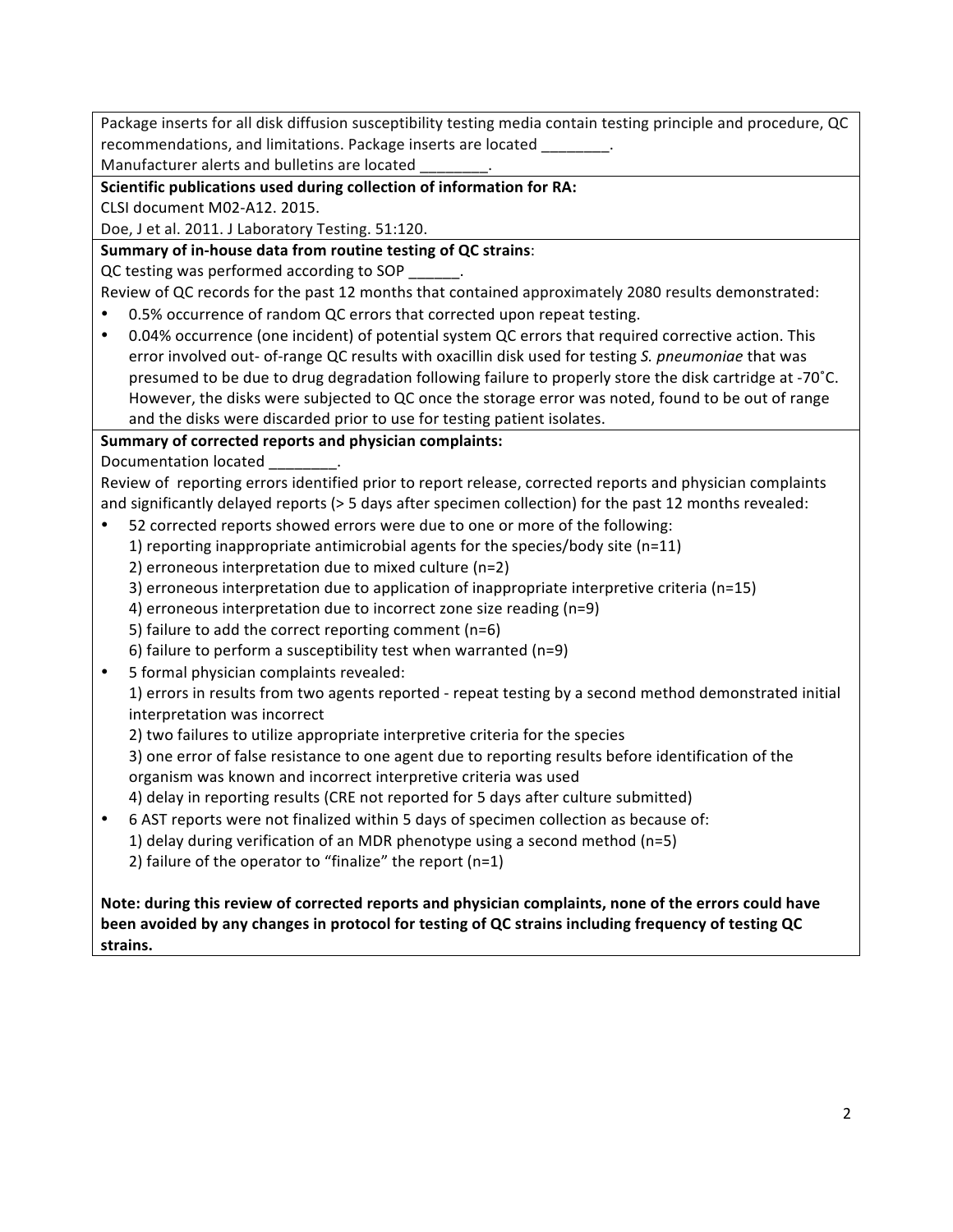Package inserts for all disk diffusion susceptibility testing media contain testing principle and procedure, QC recommendations, and limitations. Package inserts are located \_\_\_\_\_\_\_.

Manufacturer alerts and bulletins are located

### **Scientific publications used during collection of information for RA:**

CLSI document M02-A12. 2015.

Doe, J et al. 2011. J Laboratory Testing. 51:120.

# **Summary of in-house data from routine testing of QC strains:**

QC testing was performed according to SOP \_\_\_\_\_\_.

Review of QC records for the past 12 months that contained approximately 2080 results demonstrated:

- 0.5% occurrence of random QC errors that corrected upon repeat testing.
- 0.04% occurrence (one incident) of potential system QC errors that required corrective action. This error involved out- of-range QC results with oxacillin disk used for testing S. pneumoniae that was presumed to be due to drug degradation following failure to properly store the disk cartridge at -70°C. However, the disks were subjected to QC once the storage error was noted, found to be out of range and the disks were discarded prior to use for testing patient isolates.

# Summary of corrected reports and physician complaints:

Documentation located

Review of reporting errors identified prior to report release, corrected reports and physician complaints and significantly delayed reports (> 5 days after specimen collection) for the past 12 months revealed:

- 52 corrected reports showed errors were due to one or more of the following:
	- 1) reporting inappropriate antimicrobial agents for the species/body site (n=11)
	- 2) erroneous interpretation due to mixed culture (n=2)
	- 3) erroneous interpretation due to application of inappropriate interpretive criteria (n=15)
	- 4) erroneous interpretation due to incorrect zone size reading (n=9)
	- 5) failure to add the correct reporting comment ( $n=6$ )
	- 6) failure to perform a susceptibility test when warranted (n=9)
- 5 formal physician complaints revealed:

1) errors in results from two agents reported - repeat testing by a second method demonstrated initial interpretation was incorrect

2) two failures to utilize appropriate interpretive criteria for the species

3) one error of false resistance to one agent due to reporting results before identification of the organism was known and incorrect interpretive criteria was used

4) delay in reporting results (CRE not reported for 5 days after culture submitted)

- 6 AST reports were not finalized within 5 days of specimen collection as because of: 1) delay during verification of an MDR phenotype using a second method ( $n=5$ )
	- 2) failure of the operator to "finalize" the report  $(n=1)$

Note: during this review of corrected reports and physician complaints, none of the errors could have been avoided by any changes in protocol for testing of QC strains including frequency of testing QC **strains.**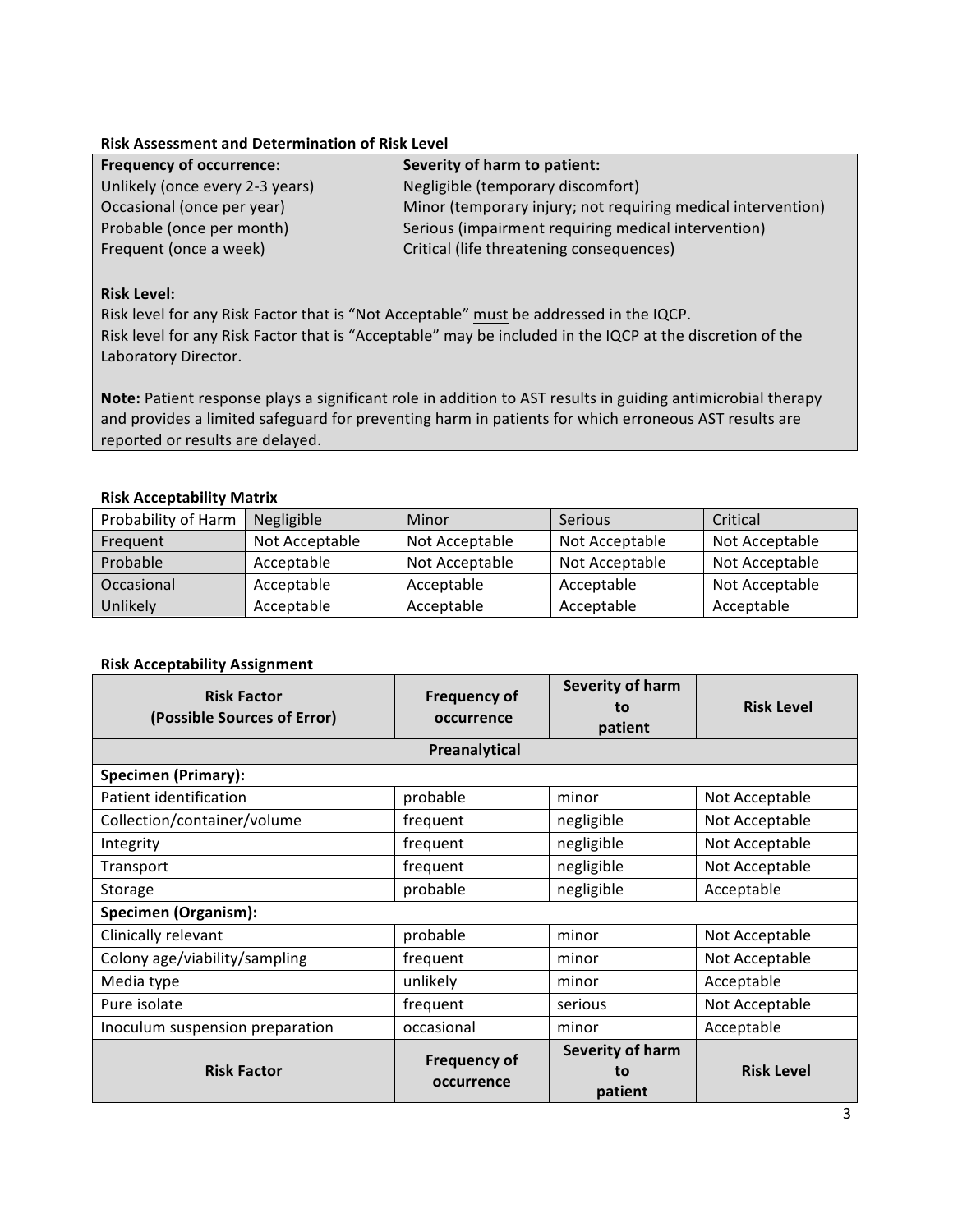### **Risk Assessment and Determination of Risk Level**

| <b>Frequency of occurrence:</b> | Severity of harm to patient:                                 |
|---------------------------------|--------------------------------------------------------------|
| Unlikely (once every 2-3 years) | Negligible (temporary discomfort)                            |
| Occasional (once per year)      | Minor (temporary injury; not requiring medical intervention) |
| Probable (once per month)       | Serious (impairment requiring medical intervention)          |
| Frequent (once a week)          | Critical (life threatening consequences)                     |

### **Risk Level:**

Risk level for any Risk Factor that is "Not Acceptable" must be addressed in the IQCP. Risk level for any Risk Factor that is "Acceptable" may be included in the IQCP at the discretion of the Laboratory Director.

Note: Patient response plays a significant role in addition to AST results in guiding antimicrobial therapy and provides a limited safeguard for preventing harm in patients for which erroneous AST results are reported or results are delayed.

#### **Risk Acceptability Matrix**

| Probability of Harm | Negligible     | Minor          | <b>Serious</b> | Critical       |
|---------------------|----------------|----------------|----------------|----------------|
| Frequent            | Not Acceptable | Not Acceptable | Not Acceptable | Not Acceptable |
| Probable            | Acceptable     | Not Acceptable | Not Acceptable | Not Acceptable |
| Occasional          | Acceptable     | Acceptable     | Acceptable     | Not Acceptable |
| Unlikely            | Acceptable     | Acceptable     | Acceptable     | Acceptable     |

#### **Risk Acceptability Assignment**

| <b>Risk Factor</b><br>(Possible Sources of Error) | <b>Frequency of</b><br>occurrence | Severity of harm<br>to<br>patient | <b>Risk Level</b> |  |  |
|---------------------------------------------------|-----------------------------------|-----------------------------------|-------------------|--|--|
|                                                   | Preanalytical                     |                                   |                   |  |  |
| <b>Specimen (Primary):</b>                        |                                   |                                   |                   |  |  |
| Patient identification                            | probable                          | minor                             | Not Acceptable    |  |  |
| Collection/container/volume                       | frequent                          | negligible                        | Not Acceptable    |  |  |
| Integrity                                         | frequent                          | negligible                        | Not Acceptable    |  |  |
| Transport                                         | frequent                          | negligible                        | Not Acceptable    |  |  |
| Storage                                           | probable                          | negligible                        | Acceptable        |  |  |
| <b>Specimen (Organism):</b>                       |                                   |                                   |                   |  |  |
| Clinically relevant                               | probable                          | minor                             | Not Acceptable    |  |  |
| Colony age/viability/sampling                     | frequent                          | minor                             | Not Acceptable    |  |  |
| Media type                                        | unlikely                          | minor                             | Acceptable        |  |  |
| Pure isolate                                      | frequent                          | serious                           | Not Acceptable    |  |  |
| Inoculum suspension preparation                   | occasional                        | minor                             | Acceptable        |  |  |
| <b>Risk Factor</b>                                | <b>Frequency of</b><br>occurrence | Severity of harm<br>to<br>patient | <b>Risk Level</b> |  |  |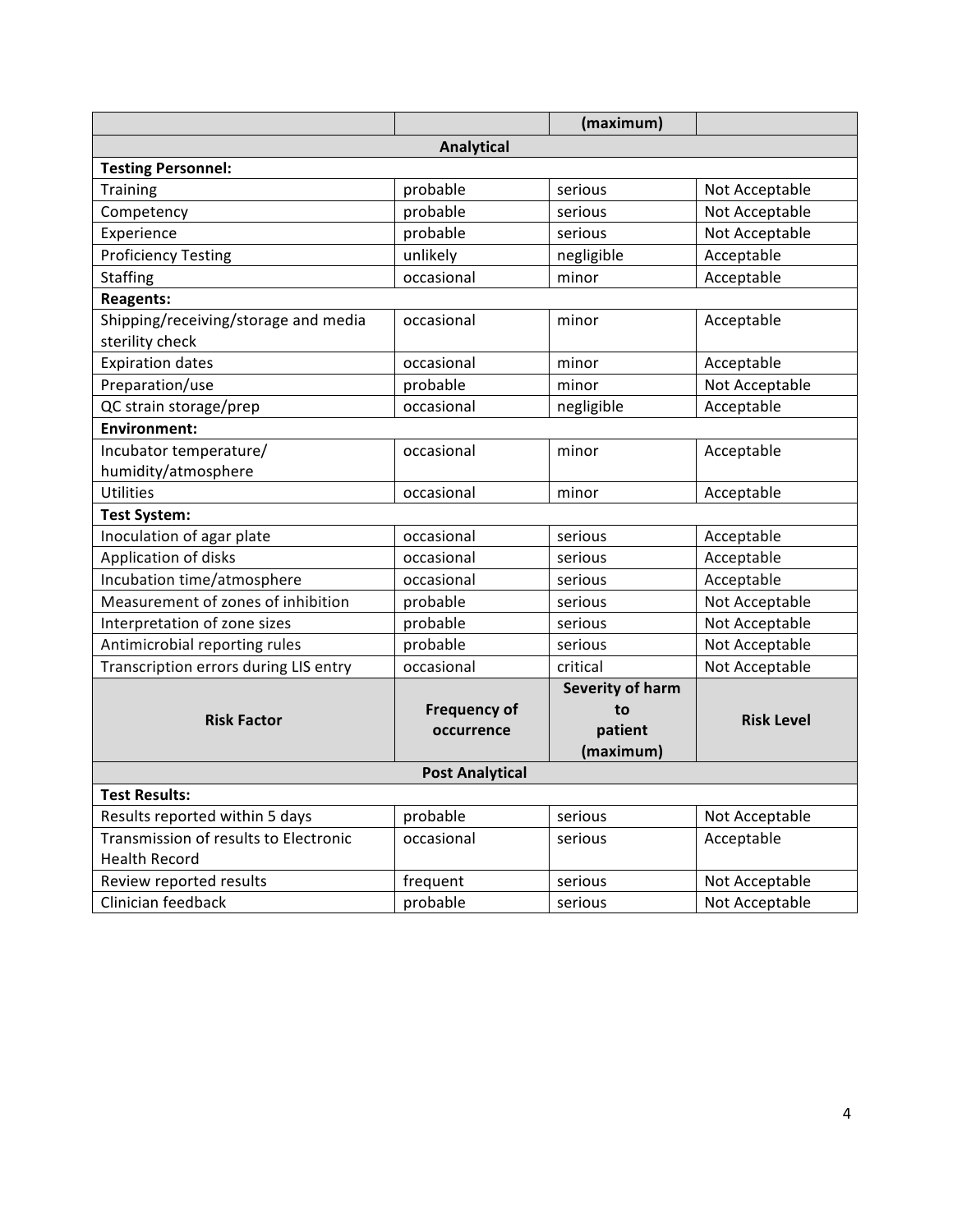|                                       |                     | (maximum)               |                   |  |
|---------------------------------------|---------------------|-------------------------|-------------------|--|
|                                       | <b>Analytical</b>   |                         |                   |  |
| <b>Testing Personnel:</b>             |                     |                         |                   |  |
| <b>Training</b>                       | probable            | serious                 | Not Acceptable    |  |
| Competency                            | probable            | serious                 | Not Acceptable    |  |
| Experience                            | probable            | serious                 | Not Acceptable    |  |
| <b>Proficiency Testing</b>            | unlikely            | negligible              | Acceptable        |  |
| <b>Staffing</b>                       | occasional          | minor                   | Acceptable        |  |
| <b>Reagents:</b>                      |                     |                         |                   |  |
| Shipping/receiving/storage and media  | occasional          | minor                   | Acceptable        |  |
| sterility check                       |                     |                         |                   |  |
| <b>Expiration dates</b>               | occasional          | minor                   | Acceptable        |  |
| Preparation/use                       | probable            | minor                   | Not Acceptable    |  |
| QC strain storage/prep                | occasional          | negligible              | Acceptable        |  |
| Environment:                          |                     |                         |                   |  |
| Incubator temperature/                | occasional          | minor                   | Acceptable        |  |
| humidity/atmosphere                   |                     |                         |                   |  |
| <b>Utilities</b>                      | occasional          | minor                   | Acceptable        |  |
| <b>Test System:</b>                   |                     |                         |                   |  |
| Inoculation of agar plate             | occasional          | serious                 | Acceptable        |  |
| Application of disks                  | occasional          | serious                 | Acceptable        |  |
| Incubation time/atmosphere            | occasional          | serious                 | Acceptable        |  |
| Measurement of zones of inhibition    | probable            | serious                 | Not Acceptable    |  |
| Interpretation of zone sizes          | probable            | serious                 | Not Acceptable    |  |
| Antimicrobial reporting rules         | probable            | serious                 | Not Acceptable    |  |
| Transcription errors during LIS entry | occasional          | critical                | Not Acceptable    |  |
|                                       |                     | <b>Severity of harm</b> |                   |  |
| <b>Risk Factor</b>                    | <b>Frequency of</b> | to                      | <b>Risk Level</b> |  |
|                                       | occurrence          | patient                 |                   |  |
|                                       |                     | (maximum)               |                   |  |
| <b>Post Analytical</b>                |                     |                         |                   |  |
| <b>Test Results:</b>                  |                     |                         |                   |  |
| Results reported within 5 days        | probable            | serious                 | Not Acceptable    |  |
| Transmission of results to Electronic | occasional          | serious                 | Acceptable        |  |
| <b>Health Record</b>                  |                     |                         |                   |  |
| Review reported results               | frequent            | serious                 | Not Acceptable    |  |
| Clinician feedback                    | probable            | serious                 | Not Acceptable    |  |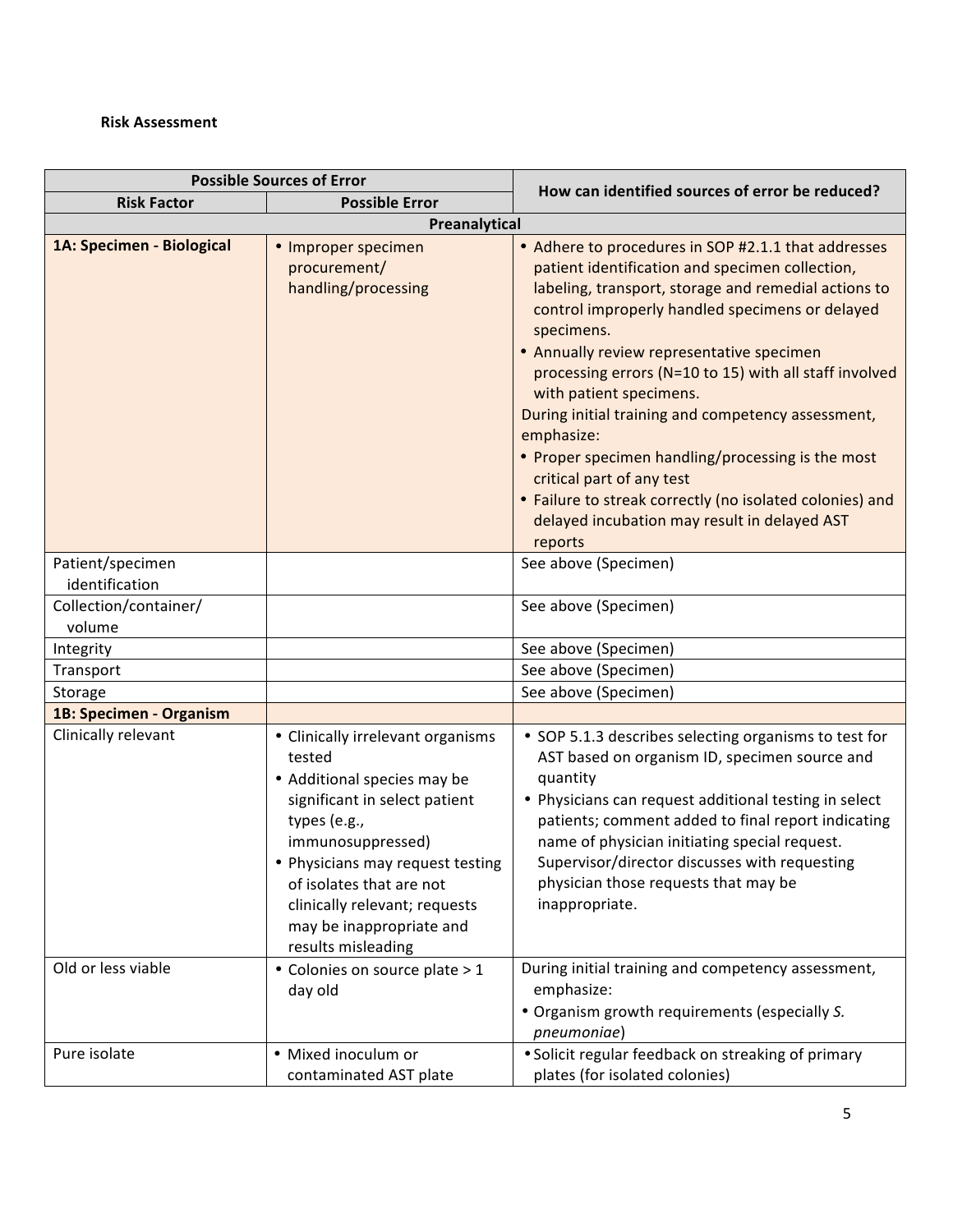### **Risk Assessment**

| <b>Possible Sources of Error</b>          |                                                                                                                                                                                                                                                                                                                                                  |                                                                                                                                                                                                                                                                                                                                                                                                                                                                                                                                                                                                                                                |  |
|-------------------------------------------|--------------------------------------------------------------------------------------------------------------------------------------------------------------------------------------------------------------------------------------------------------------------------------------------------------------------------------------------------|------------------------------------------------------------------------------------------------------------------------------------------------------------------------------------------------------------------------------------------------------------------------------------------------------------------------------------------------------------------------------------------------------------------------------------------------------------------------------------------------------------------------------------------------------------------------------------------------------------------------------------------------|--|
| <b>Risk Factor</b>                        | <b>Possible Error</b>                                                                                                                                                                                                                                                                                                                            | How can identified sources of error be reduced?                                                                                                                                                                                                                                                                                                                                                                                                                                                                                                                                                                                                |  |
| Preanalytical                             |                                                                                                                                                                                                                                                                                                                                                  |                                                                                                                                                                                                                                                                                                                                                                                                                                                                                                                                                                                                                                                |  |
| 1A: Specimen - Biological                 | • Improper specimen<br>procurement/<br>handling/processing                                                                                                                                                                                                                                                                                       | • Adhere to procedures in SOP #2.1.1 that addresses<br>patient identification and specimen collection,<br>labeling, transport, storage and remedial actions to<br>control improperly handled specimens or delayed<br>specimens.<br>• Annually review representative specimen<br>processing errors (N=10 to 15) with all staff involved<br>with patient specimens.<br>During initial training and competency assessment,<br>emphasize:<br>• Proper specimen handling/processing is the most<br>critical part of any test<br>• Failure to streak correctly (no isolated colonies) and<br>delayed incubation may result in delayed AST<br>reports |  |
| Patient/specimen<br>identification        |                                                                                                                                                                                                                                                                                                                                                  | See above (Specimen)                                                                                                                                                                                                                                                                                                                                                                                                                                                                                                                                                                                                                           |  |
| Collection/container/                     |                                                                                                                                                                                                                                                                                                                                                  | See above (Specimen)                                                                                                                                                                                                                                                                                                                                                                                                                                                                                                                                                                                                                           |  |
| volume                                    |                                                                                                                                                                                                                                                                                                                                                  |                                                                                                                                                                                                                                                                                                                                                                                                                                                                                                                                                                                                                                                |  |
| Integrity                                 |                                                                                                                                                                                                                                                                                                                                                  | See above (Specimen)                                                                                                                                                                                                                                                                                                                                                                                                                                                                                                                                                                                                                           |  |
| Transport                                 |                                                                                                                                                                                                                                                                                                                                                  | See above (Specimen)                                                                                                                                                                                                                                                                                                                                                                                                                                                                                                                                                                                                                           |  |
| Storage                                   |                                                                                                                                                                                                                                                                                                                                                  | See above (Specimen)                                                                                                                                                                                                                                                                                                                                                                                                                                                                                                                                                                                                                           |  |
| 1B: Specimen - Organism                   |                                                                                                                                                                                                                                                                                                                                                  |                                                                                                                                                                                                                                                                                                                                                                                                                                                                                                                                                                                                                                                |  |
| Clinically relevant<br>Old or less viable | • Clinically irrelevant organisms<br>tested<br>• Additional species may be<br>significant in select patient<br>types (e.g.,<br>immunosuppressed)<br>• Physicians may request testing<br>of isolates that are not<br>clinically relevant; requests<br>may be inappropriate and<br>results misleading<br>• Colonies on source plate > 1<br>day old | • SOP 5.1.3 describes selecting organisms to test for<br>AST based on organism ID, specimen source and<br>quantity<br>• Physicians can request additional testing in select<br>patients; comment added to final report indicating<br>name of physician initiating special request.<br>Supervisor/director discusses with requesting<br>physician those requests that may be<br>inappropriate.<br>During initial training and competency assessment,<br>emphasize:                                                                                                                                                                              |  |
|                                           |                                                                                                                                                                                                                                                                                                                                                  | . Organism growth requirements (especially S.<br>pneumoniae)                                                                                                                                                                                                                                                                                                                                                                                                                                                                                                                                                                                   |  |
| Pure isolate                              | · Mixed inoculum or<br>contaminated AST plate                                                                                                                                                                                                                                                                                                    | • Solicit regular feedback on streaking of primary<br>plates (for isolated colonies)                                                                                                                                                                                                                                                                                                                                                                                                                                                                                                                                                           |  |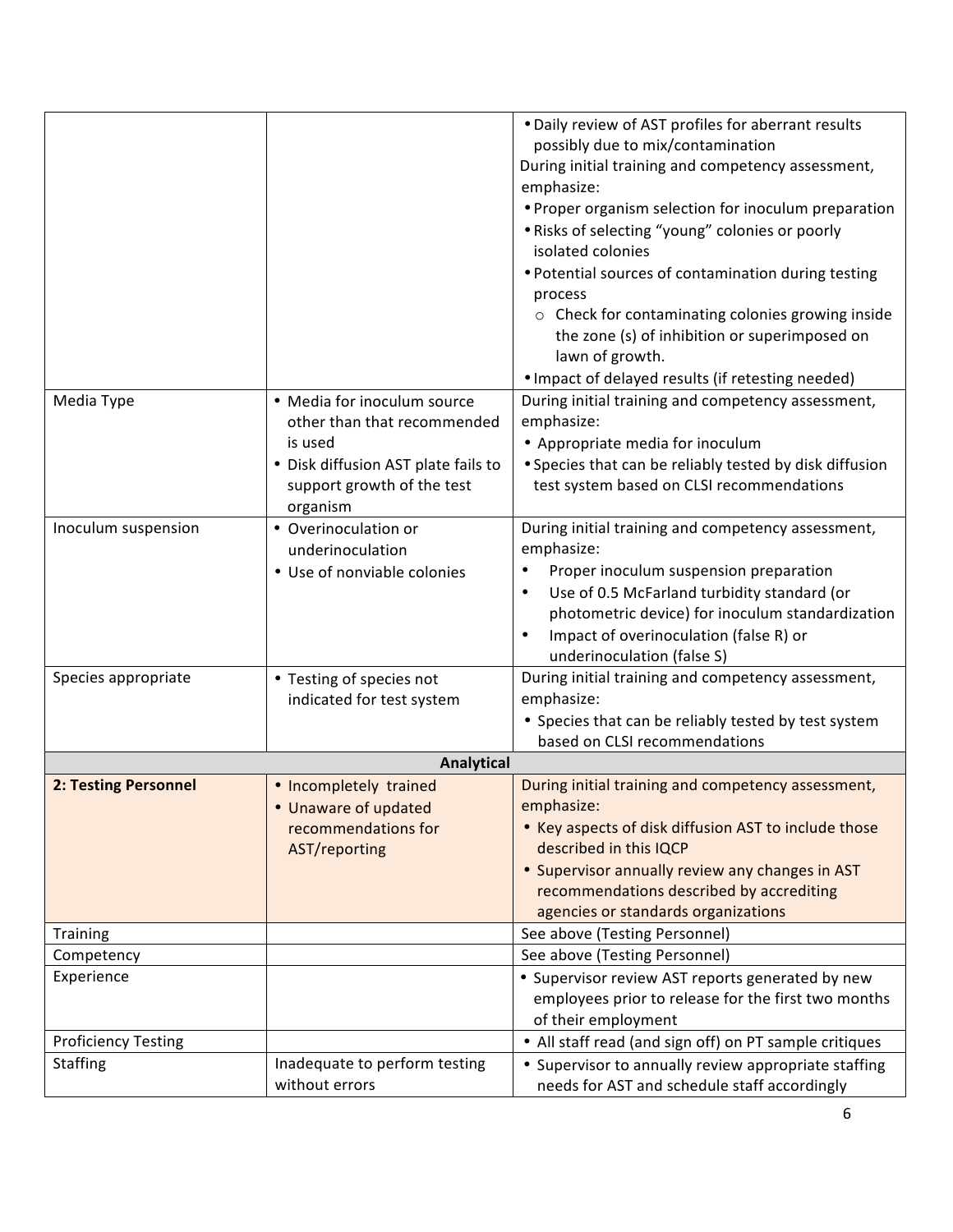| . Daily review of AST profiles for aberrant results                                                            |
|----------------------------------------------------------------------------------------------------------------|
| possibly due to mix/contamination                                                                              |
| During initial training and competency assessment,                                                             |
| emphasize:                                                                                                     |
| • Proper organism selection for inoculum preparation                                                           |
| . Risks of selecting "young" colonies or poorly                                                                |
| isolated colonies                                                                                              |
| • Potential sources of contamination during testing                                                            |
| process                                                                                                        |
| o Check for contaminating colonies growing inside                                                              |
| the zone (s) of inhibition or superimposed on                                                                  |
| lawn of growth.                                                                                                |
| . Impact of delayed results (if retesting needed)                                                              |
| During initial training and competency assessment,                                                             |
| emphasize:                                                                                                     |
| • Appropriate media for inoculum                                                                               |
| • Species that can be reliably tested by disk diffusion                                                        |
| test system based on CLSI recommendations                                                                      |
|                                                                                                                |
| During initial training and competency assessment,                                                             |
| emphasize:                                                                                                     |
| Proper inoculum suspension preparation                                                                         |
| Use of 0.5 McFarland turbidity standard (or                                                                    |
| photometric device) for inoculum standardization                                                               |
| Impact of overinoculation (false R) or                                                                         |
| underinoculation (false S)                                                                                     |
| During initial training and competency assessment,                                                             |
|                                                                                                                |
|                                                                                                                |
| emphasize:                                                                                                     |
| • Species that can be reliably tested by test system                                                           |
| based on CLSI recommendations                                                                                  |
|                                                                                                                |
| During initial training and competency assessment,<br>emphasize:                                               |
|                                                                                                                |
| • Key aspects of disk diffusion AST to include those<br>described in this IQCP                                 |
|                                                                                                                |
| • Supervisor annually review any changes in AST                                                                |
| recommendations described by accrediting                                                                       |
| agencies or standards organizations<br>See above (Testing Personnel)                                           |
| See above (Testing Personnel)                                                                                  |
|                                                                                                                |
| • Supervisor review AST reports generated by new                                                               |
| employees prior to release for the first two months                                                            |
| of their employment                                                                                            |
| • All staff read (and sign off) on PT sample critiques<br>• Supervisor to annually review appropriate staffing |
|                                                                                                                |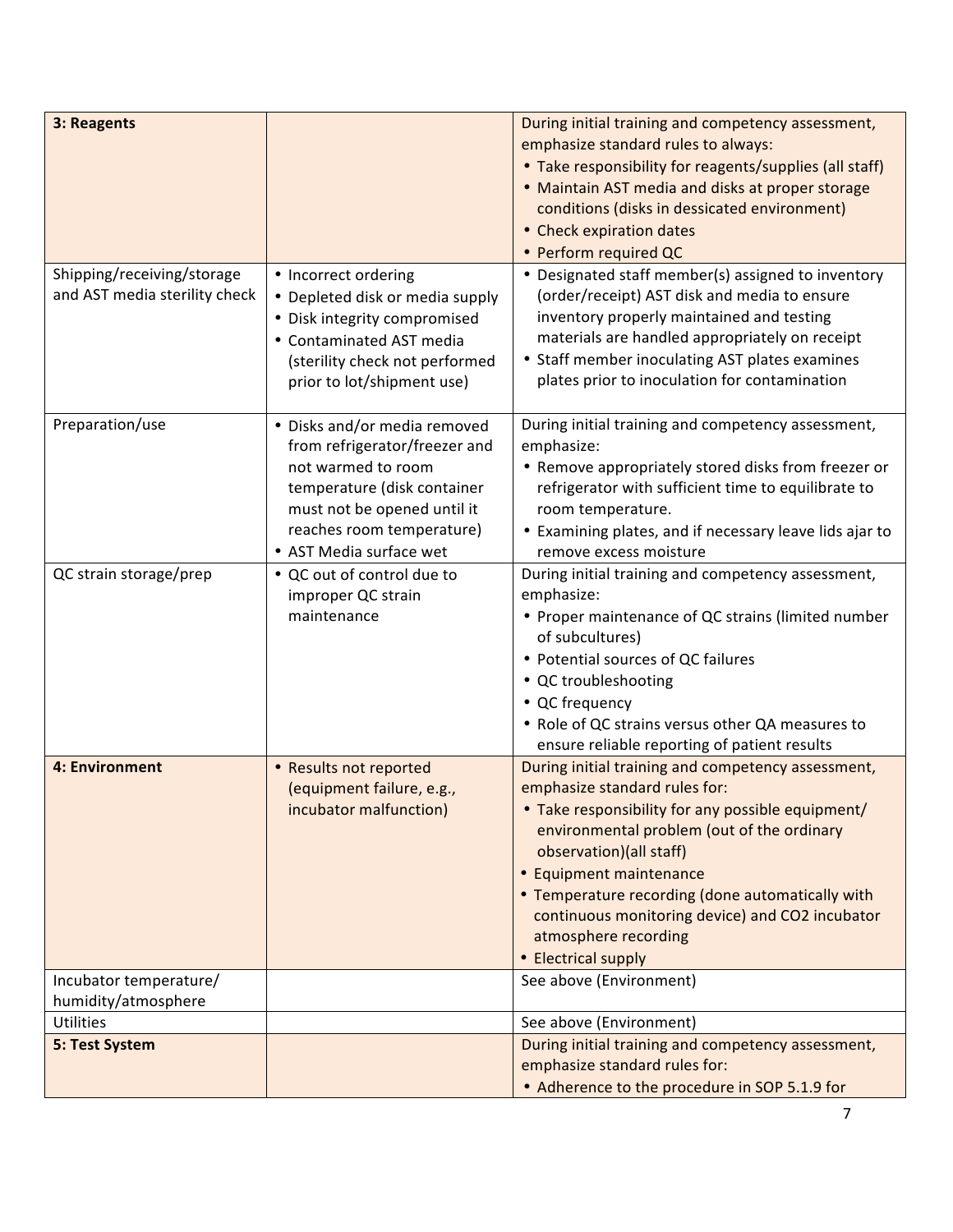| 3: Reagents<br>Shipping/receiving/storage<br>and AST media sterility check | • Incorrect ordering<br>• Depleted disk or media supply<br>• Disk integrity compromised                                                                                                                   | During initial training and competency assessment,<br>emphasize standard rules to always:<br>• Take responsibility for reagents/supplies (all staff)<br>• Maintain AST media and disks at proper storage<br>conditions (disks in dessicated environment)<br>• Check expiration dates<br>• Perform required QC<br>• Designated staff member(s) assigned to inventory<br>(order/receipt) AST disk and media to ensure<br>inventory properly maintained and testing |
|----------------------------------------------------------------------------|-----------------------------------------------------------------------------------------------------------------------------------------------------------------------------------------------------------|------------------------------------------------------------------------------------------------------------------------------------------------------------------------------------------------------------------------------------------------------------------------------------------------------------------------------------------------------------------------------------------------------------------------------------------------------------------|
|                                                                            | • Contaminated AST media<br>(sterility check not performed<br>prior to lot/shipment use)                                                                                                                  | materials are handled appropriately on receipt<br>• Staff member inoculating AST plates examines<br>plates prior to inoculation for contamination                                                                                                                                                                                                                                                                                                                |
| Preparation/use                                                            | • Disks and/or media removed<br>from refrigerator/freezer and<br>not warmed to room<br>temperature (disk container<br>must not be opened until it<br>reaches room temperature)<br>• AST Media surface wet | During initial training and competency assessment,<br>emphasize:<br>• Remove appropriately stored disks from freezer or<br>refrigerator with sufficient time to equilibrate to<br>room temperature.<br>• Examining plates, and if necessary leave lids ajar to<br>remove excess moisture                                                                                                                                                                         |
| QC strain storage/prep                                                     | • QC out of control due to<br>improper QC strain<br>maintenance                                                                                                                                           | During initial training and competency assessment,<br>emphasize:<br>• Proper maintenance of QC strains (limited number<br>of subcultures)<br>• Potential sources of QC failures<br>• QC troubleshooting<br>• QC frequency<br>• Role of QC strains versus other QA measures to<br>ensure reliable reporting of patient results                                                                                                                                    |
| 4: Environment                                                             | • Results not reported<br>(equipment failure, e.g.,<br>incubator malfunction)                                                                                                                             | During initial training and competency assessment,<br>emphasize standard rules for:<br>Take responsibility for any possible equipment/<br>environmental problem (out of the ordinary<br>observation)(all staff)<br>• Equipment maintenance<br>• Temperature recording (done automatically with<br>continuous monitoring device) and CO2 incubator<br>atmosphere recording<br>• Electrical supply                                                                 |
| Incubator temperature/<br>humidity/atmosphere                              |                                                                                                                                                                                                           | See above (Environment)                                                                                                                                                                                                                                                                                                                                                                                                                                          |
| <b>Utilities</b>                                                           |                                                                                                                                                                                                           | See above (Environment)                                                                                                                                                                                                                                                                                                                                                                                                                                          |
| 5: Test System                                                             |                                                                                                                                                                                                           | During initial training and competency assessment,<br>emphasize standard rules for:<br>• Adherence to the procedure in SOP 5.1.9 for                                                                                                                                                                                                                                                                                                                             |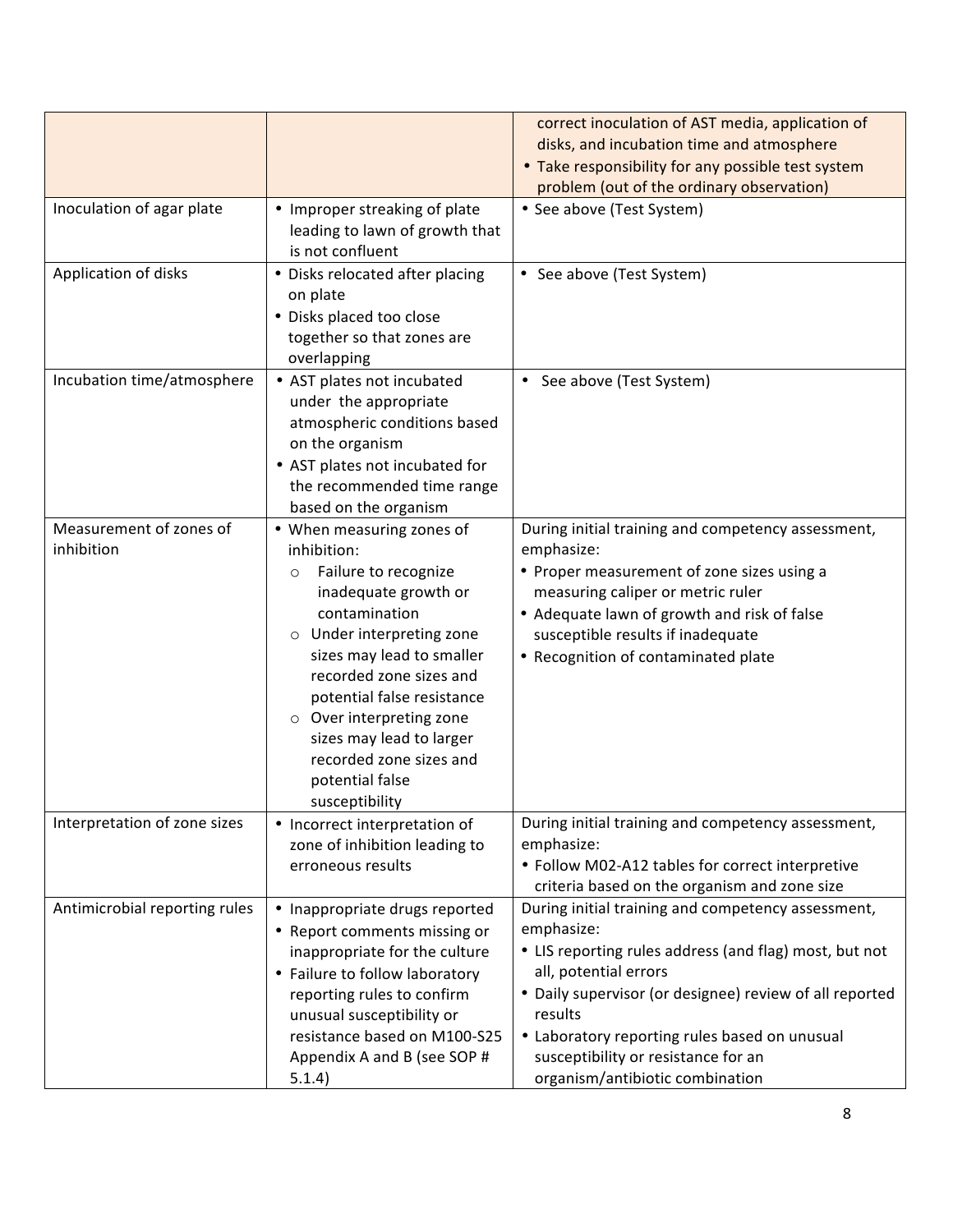|                               |                                 | correct inoculation of AST media, application of        |
|-------------------------------|---------------------------------|---------------------------------------------------------|
|                               |                                 | disks, and incubation time and atmosphere               |
|                               |                                 | • Take responsibility for any possible test system      |
|                               |                                 | problem (out of the ordinary observation)               |
| Inoculation of agar plate     | • Improper streaking of plate   | • See above (Test System)                               |
|                               | leading to lawn of growth that  |                                                         |
|                               | is not confluent                |                                                         |
| Application of disks          | • Disks relocated after placing | • See above (Test System)                               |
|                               | on plate                        |                                                         |
|                               | • Disks placed too close        |                                                         |
|                               | together so that zones are      |                                                         |
|                               | overlapping                     |                                                         |
| Incubation time/atmosphere    | • AST plates not incubated      | See above (Test System)                                 |
|                               | under the appropriate           |                                                         |
|                               | atmospheric conditions based    |                                                         |
|                               | on the organism                 |                                                         |
|                               | • AST plates not incubated for  |                                                         |
|                               | the recommended time range      |                                                         |
|                               | based on the organism           |                                                         |
| Measurement of zones of       | • When measuring zones of       | During initial training and competency assessment,      |
| inhibition                    | inhibition:                     | emphasize:                                              |
|                               | Failure to recognize<br>$\circ$ | • Proper measurement of zone sizes using a              |
|                               | inadequate growth or            | measuring caliper or metric ruler                       |
|                               | contamination                   | • Adequate lawn of growth and risk of false             |
|                               | o Under interpreting zone       | susceptible results if inadequate                       |
|                               | sizes may lead to smaller       | • Recognition of contaminated plate                     |
|                               | recorded zone sizes and         |                                                         |
|                               | potential false resistance      |                                                         |
|                               | o Over interpreting zone        |                                                         |
|                               | sizes may lead to larger        |                                                         |
|                               | recorded zone sizes and         |                                                         |
|                               | potential false                 |                                                         |
|                               |                                 |                                                         |
|                               | susceptibility                  |                                                         |
| Interpretation of zone sizes  | • Incorrect interpretation of   | During initial training and competency assessment,      |
|                               | zone of inhibition leading to   | emphasize:                                              |
|                               | erroneous results               | • Follow M02-A12 tables for correct interpretive        |
|                               |                                 | criteria based on the organism and zone size            |
| Antimicrobial reporting rules | • Inappropriate drugs reported  | During initial training and competency assessment,      |
|                               | • Report comments missing or    | emphasize:                                              |
|                               | inappropriate for the culture   | • LIS reporting rules address (and flag) most, but not  |
|                               | • Failure to follow laboratory  | all, potential errors                                   |
|                               | reporting rules to confirm      | • Daily supervisor (or designee) review of all reported |
|                               | unusual susceptibility or       | results                                                 |
|                               | resistance based on M100-S25    | • Laboratory reporting rules based on unusual           |
|                               | Appendix A and B (see SOP #     | susceptibility or resistance for an                     |
|                               | 5.1.4)                          | organism/antibiotic combination                         |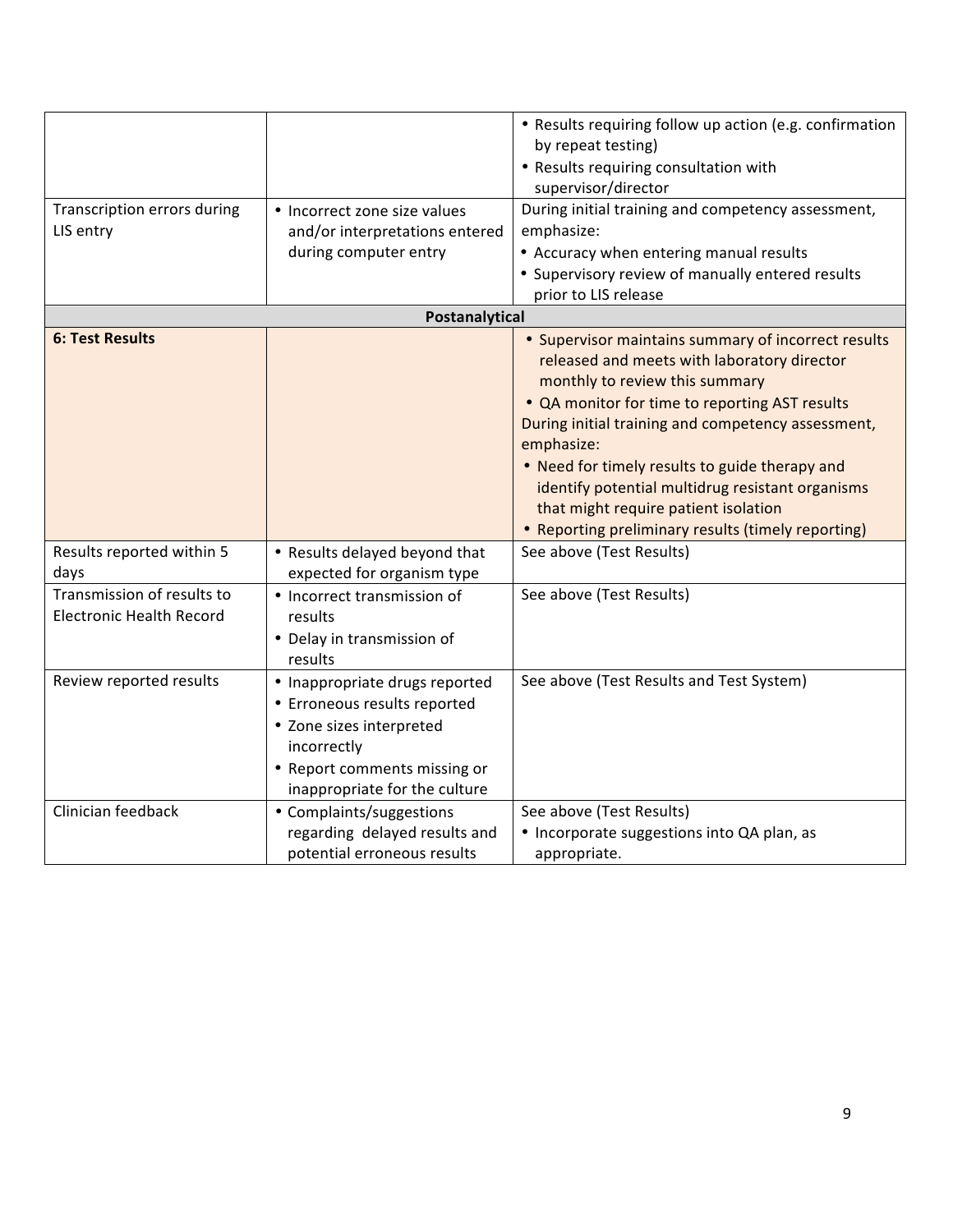| Transcription errors during<br>LIS entry                      | • Incorrect zone size values<br>and/or interpretations entered<br>during computer entry                                                                                                                | • Results requiring follow up action (e.g. confirmation<br>by repeat testing)<br>• Results requiring consultation with<br>supervisor/director<br>During initial training and competency assessment,<br>emphasize:<br>• Accuracy when entering manual results                                                                                                                                                                                                   |
|---------------------------------------------------------------|--------------------------------------------------------------------------------------------------------------------------------------------------------------------------------------------------------|----------------------------------------------------------------------------------------------------------------------------------------------------------------------------------------------------------------------------------------------------------------------------------------------------------------------------------------------------------------------------------------------------------------------------------------------------------------|
|                                                               |                                                                                                                                                                                                        | • Supervisory review of manually entered results                                                                                                                                                                                                                                                                                                                                                                                                               |
|                                                               | Postanalytical                                                                                                                                                                                         | prior to LIS release                                                                                                                                                                                                                                                                                                                                                                                                                                           |
| <b>6: Test Results</b>                                        |                                                                                                                                                                                                        | • Supervisor maintains summary of incorrect results<br>released and meets with laboratory director<br>monthly to review this summary<br>• QA monitor for time to reporting AST results<br>During initial training and competency assessment,<br>emphasize:<br>• Need for timely results to guide therapy and<br>identify potential multidrug resistant organisms<br>that might require patient isolation<br>• Reporting preliminary results (timely reporting) |
| Results reported within 5<br>days                             | • Results delayed beyond that<br>expected for organism type                                                                                                                                            | See above (Test Results)                                                                                                                                                                                                                                                                                                                                                                                                                                       |
| Transmission of results to<br><b>Electronic Health Record</b> | • Incorrect transmission of<br>results<br>• Delay in transmission of<br>results                                                                                                                        | See above (Test Results)                                                                                                                                                                                                                                                                                                                                                                                                                                       |
| Review reported results<br>Clinician feedback                 | • Inappropriate drugs reported<br>• Erroneous results reported<br>• Zone sizes interpreted<br>incorrectly<br>• Report comments missing or<br>inappropriate for the culture<br>• Complaints/suggestions | See above (Test Results and Test System)<br>See above (Test Results)                                                                                                                                                                                                                                                                                                                                                                                           |
|                                                               | regarding delayed results and<br>potential erroneous results                                                                                                                                           | • Incorporate suggestions into QA plan, as<br>appropriate.                                                                                                                                                                                                                                                                                                                                                                                                     |